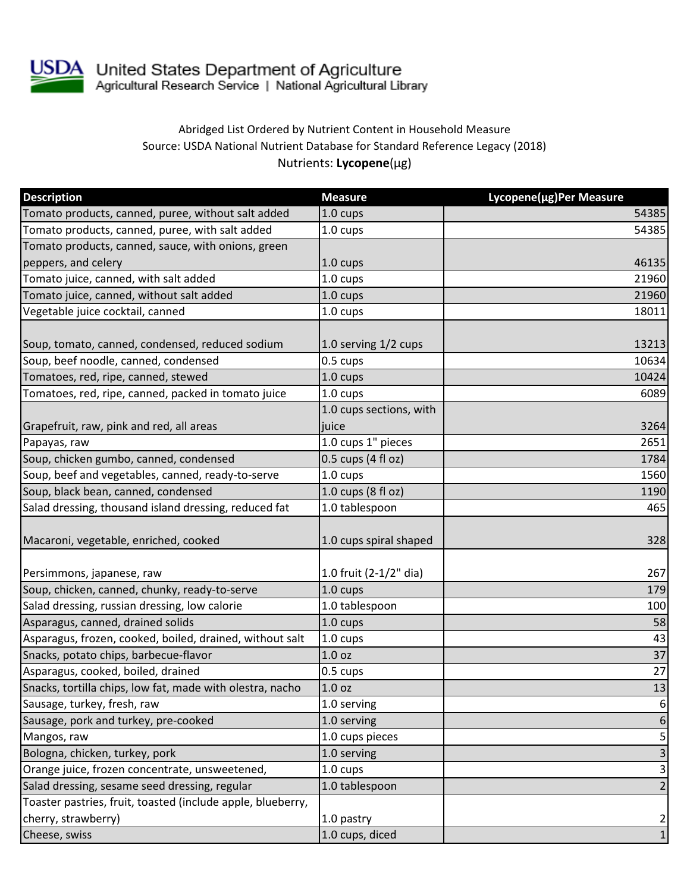

## Abridged List Ordered by Nutrient Content in Household Measure Source: USDA National Nutrient Database for Standard Reference Legacy (2018) Nutrients: **Lycopene**(µg)

| <b>Description</b>                                          | <b>Measure</b>          | Lycopene(µg)Per Measure   |
|-------------------------------------------------------------|-------------------------|---------------------------|
| Tomato products, canned, puree, without salt added          | 1.0 cups                | 54385                     |
| Tomato products, canned, puree, with salt added             | $1.0 \text{ cups}$      | 54385                     |
| Tomato products, canned, sauce, with onions, green          |                         |                           |
| peppers, and celery                                         | $1.0 \text{ cups}$      | 46135                     |
| Tomato juice, canned, with salt added                       | 1.0 cups                | 21960                     |
| Tomato juice, canned, without salt added                    | 1.0 cups                | 21960                     |
| Vegetable juice cocktail, canned                            | 1.0 cups                | 18011                     |
| Soup, tomato, canned, condensed, reduced sodium             | 1.0 serving 1/2 cups    | 13213                     |
| Soup, beef noodle, canned, condensed                        | 0.5 cups                | 10634                     |
| Tomatoes, red, ripe, canned, stewed                         | 1.0 cups                | 10424                     |
| Tomatoes, red, ripe, canned, packed in tomato juice         | 1.0 cups                | 6089                      |
|                                                             | 1.0 cups sections, with |                           |
| Grapefruit, raw, pink and red, all areas                    | juice                   | 3264                      |
| Papayas, raw                                                | 1.0 cups 1" pieces      | 2651                      |
| Soup, chicken gumbo, canned, condensed                      | $0.5$ cups (4 fl oz)    | 1784                      |
| Soup, beef and vegetables, canned, ready-to-serve           | 1.0 cups                | 1560                      |
| Soup, black bean, canned, condensed                         | 1.0 cups (8 fl oz)      | 1190                      |
| Salad dressing, thousand island dressing, reduced fat       | 1.0 tablespoon          | 465                       |
| Macaroni, vegetable, enriched, cooked                       | 1.0 cups spiral shaped  | 328                       |
| Persimmons, japanese, raw                                   | 1.0 fruit (2-1/2" dia)  | 267                       |
| Soup, chicken, canned, chunky, ready-to-serve               | 1.0 cups                | 179                       |
| Salad dressing, russian dressing, low calorie               | 1.0 tablespoon          | 100                       |
| Asparagus, canned, drained solids                           | 1.0 cups                | 58                        |
| Asparagus, frozen, cooked, boiled, drained, without salt    | 1.0 cups                | 43                        |
| Snacks, potato chips, barbecue-flavor                       | 1.0 <sub>oz</sub>       | 37                        |
| Asparagus, cooked, boiled, drained                          | 0.5 cups                | 27                        |
| Snacks, tortilla chips, low fat, made with olestra, nacho   | 1.0 <sub>oz</sub>       | 13                        |
| Sausage, turkey, fresh, raw                                 | 1.0 serving             | 6                         |
| Sausage, pork and turkey, pre-cooked                        | 1.0 serving             | 6                         |
| Mangos, raw                                                 | 1.0 cups pieces         | 5                         |
| Bologna, chicken, turkey, pork                              | 1.0 serving             | 3                         |
| Orange juice, frozen concentrate, unsweetened,              | 1.0 cups                | $\ensuremath{\mathsf{3}}$ |
| Salad dressing, sesame seed dressing, regular               | 1.0 tablespoon          | $\overline{2}$            |
| Toaster pastries, fruit, toasted (include apple, blueberry, |                         |                           |
| cherry, strawberry)                                         | 1.0 pastry              | $\overline{2}$            |
| Cheese, swiss                                               | 1.0 cups, diced         | $\mathbf 1$               |